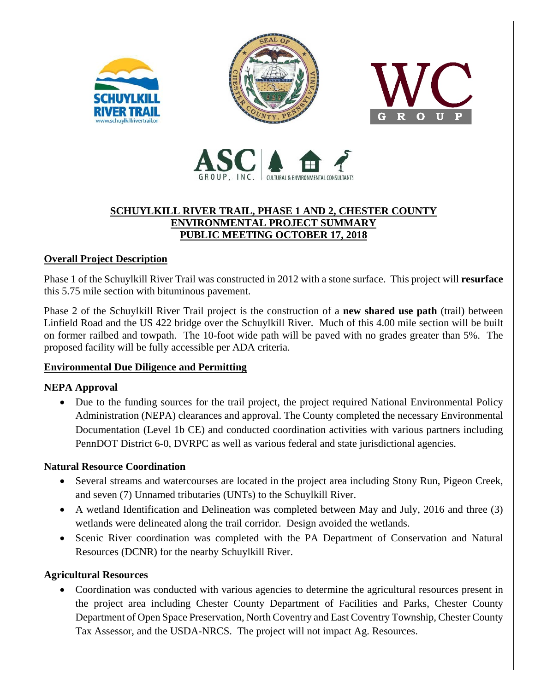







# **SCHUYLKILL RIVER TRAIL, PHASE 1 AND 2, CHESTER COUNTY ENVIRONMENTAL PROJECT SUMMARY PUBLIC MEETING OCTOBER 17, 2018**

# **Overall Project Description**

Phase 1 of the Schuylkill River Trail was constructed in 2012 with a stone surface. This project will **resurface** this 5.75 mile section with bituminous pavement.

Phase 2 of the Schuylkill River Trail project is the construction of a **new shared use path** (trail) between Linfield Road and the US 422 bridge over the Schuylkill River. Much of this 4.00 mile section will be built on former railbed and towpath. The 10-foot wide path will be paved with no grades greater than 5%. The proposed facility will be fully accessible per ADA criteria.

#### **Environmental Due Diligence and Permitting** I

# **NEPA Approval**

• Due to the funding sources for the trail project, the project required National Environmental Policy Administration (NEPA) clearances and approval. The County completed the necessary Environmental Documentation (Level 1b CE) and conducted coordination activities with various partners including PennDOT District 6-0, DVRPC as well as various federal and state jurisdictional agencies.

## **Natural Resource Coordination**

- Several streams and watercourses are located in the project area including Stony Run, Pigeon Creek, and seven (7) Unnamed tributaries (UNTs) to the Schuylkill River.
- A wetland Identification and Delineation was completed between May and July, 2016 and three (3) wetlands were delineated along the trail corridor. Design avoided the wetlands.
- Scenic River coordination was completed with the PA Department of Conservation and Natural Resources (DCNR) for the nearby Schuylkill River.

## **Agricultural Resources**

• Coordination was conducted with various agencies to determine the agricultural resources present in the project area including Chester County Department of Facilities and Parks, Chester County Department of Open Space Preservation, North Coventry and East Coventry Township, Chester County Tax Assessor, and the USDA-NRCS. The project will not impact Ag. Resources.